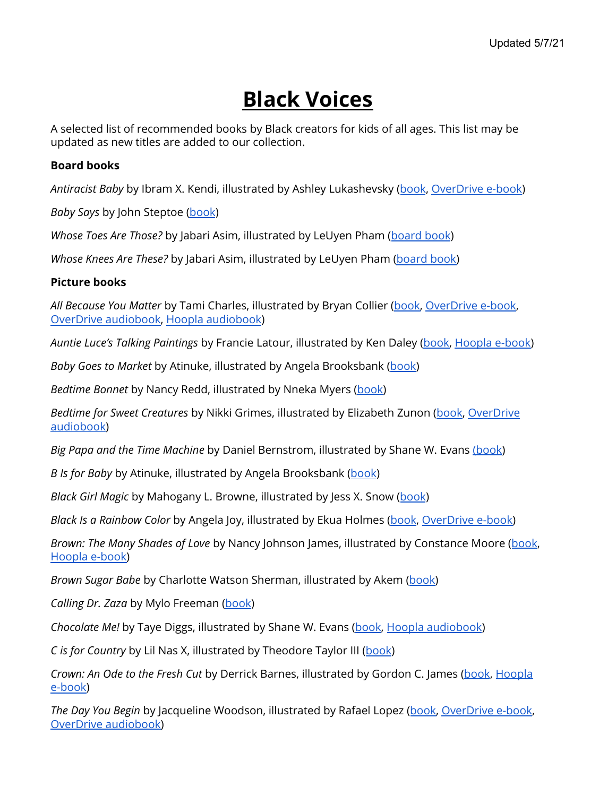# **Black Voices**

A selected list of recommended books by Black creators for kids of all ages. This list may be updated as new titles are added to our collection.

### **Board books**

*Antiracist Baby* by Ibram X. Kendi, illustrated by Ashley Lukashevsky ([book](https://find.minlib.net/iii/encore/record/C__Rb3919925), [OverDrive](https://find.minlib.net/iii/encore/record/C__Rb3922598) e-book)

*Baby Says* by John Steptoe [\(book](https://find.minlib.net/iii/encore/record/C__Rb3802405))

*Whose Toes Are Those?* by Jabari Asim, illustrated by LeUyen Pham ([board](https://find.minlib.net/iii/encore/record/C__Rb2394809) book)

*Whose Knees Are These?* by Jabari Asim, illustrated by LeUyen Pham [\(board](https://find.minlib.net/iii/encore/record/C__Rb2394807) book)

### **Picture books**

*All Because You Matter* by Tami Charles, illustrated by Bryan Collier ([book,](https://find.minlib.net/iii/encore/record/C__Rb3938207) [OverDrive](https://find.minlib.net/iii/encore/record/C__Rb3988936) e-book, OverDrive [audiobook,](https://find.minlib.net/iii/encore/record/C__Rb3969289) Hoopla [audiobook\)](https://www.hoopladigital.com/title/13423362)

*Auntie Luce's Talking Paintings* by Francie Latour, illustrated by Ken Daley ([book,](https://find.minlib.net/iii/encore/record/C__Rb3776862) [Hoopla](https://www.hoopladigital.com/title/12630680) e-book)

*Baby Goes to Market* by Atinuke, illustrated by Angela Brooksbank ([book\)](https://find.minlib.net/iii/encore/record/C__Rb3651410)

*Bedtime Bonnet* by Nancy Redd, illustrated by Nneka Myers [\(book\)](https://find.minlib.net/iii/encore/record/C__Rb3901841)

*Bedtime for Sweet Creatures* by Nikki Grimes, illustrated by Elizabeth Zunon [\(book,](https://find.minlib.net/iii/encore/record/C__Rb3886701__Sbedtime%20for%20sweet%20creatures__Orightresult__U__X7?lang=eng&suite=cobalt) [OverDrive](https://find.minlib.net/iii/encore/record/C__Rb3941092) [audiobook](https://find.minlib.net/iii/encore/record/C__Rb3941092))

*Big Papa and the Time Machine* by Daniel Bernstrom, illustrated by Shane W. Evans [\(book](https://find.minlib.net/iii/encore/record/C__Rb3885385))

*B Is for Baby* by Atinuke, illustrated by Angela Brooksbank ([book](https://find.minlib.net/iii/encore/record/C__Rb3814255))

*Black Girl Magic* by Mahogany L. Browne, illustrated by Jess X. Snow ([book](https://find.minlib.net/iii/encore/record/C__Rb3715457))

*Black Is a Rainbow Color* by Angela Joy, illustrated by Ekua Holmes [\(book](https://find.minlib.net/iii/encore/record/C__Rb3882802), [OverDrive](https://find.minlib.net/iii/encore/record/C__Rb3962206) e-book)

*Brown: The Many Shades of Love* by Nancy Johnson James, illustrated by Constance Moore ([book](https://find.minlib.net/iii/encore/record/C__Rb3941671), [Hoopla](https://www.hoopladigital.com/title/13604669) e-book)

*Brown Sugar Babe* by Charlotte Watson Sherman, illustrated by Akem ([book\)](https://find.minlib.net/iii/encore/record/C__Rb3902033)

*Calling Dr. Zaza* by Mylo Freeman ([book\)](https://find.minlib.net/iii/encore/record/C__Rb3746381)

*Chocolate Me!* by Taye Diggs, illustrated by Shane W. Evans [\(book,](https://find.minlib.net/iii/encore/record/C__Rb2930433) Hoopla [audiobook](https://www.hoopladigital.com/title/12603435))

*C is for Country* by Lil Nas X, illustrated by Theodore Taylor III ([book](https://find.minlib.net/iii/encore/record/C__Rb3974729))

*Crown: An Ode to the Fresh Cut* by Derrick Barnes, illustrated by Gordon C. James [\(book](https://find.minlib.net/iii/encore/record/C__Rb3672969), [Hoopla](https://www.hoopladigital.com/title/11981267) [e-book\)](https://www.hoopladigital.com/title/11981267)

*The Day You Begin* by Jacqueline Woodson, illustrated by Rafael Lopez ([book,](https://find.minlib.net/iii/encore/record/C__Rb3767571) [OverDrive](https://find.minlib.net/iii/encore/record/C__Rb3824043) e-book, OverDrive [audiobook\)](https://find.minlib.net/iii/encore/record/C__Rb3922775)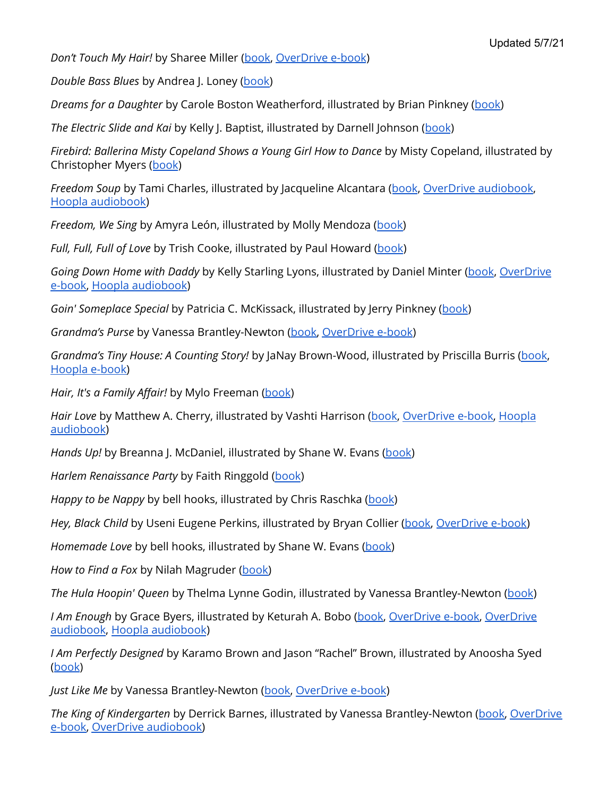*Don't Touch My Hair!* by Sharee Miller [\(book,](https://find.minlib.net/iii/encore/record/C__Rb3789245) [OverDrive](https://find.minlib.net/iii/encore/record/C__Rb3870887) e-book)

*Double Bass Blues* by Andrea J. Loney [\(book\)](https://find.minlib.net/iii/encore/record/C__Rb3864947)

*Dreams for a Daughter* by Carole Boston Weatherford, illustrated by Brian Pinkney ([book\)](https://find.minlib.net/iii/encore/record/C__Rb3987099)

*The Electric Slide and Kai* by Kelly J. Baptist, illustrated by Darnell Johnson ([book](https://find.minlib.net/iii/encore/record/C__Rb3981263))

*Firebird: Ballerina Misty Copeland Shows a Young Girl How to Dance* by Misty Copeland, illustrated by Christopher Myers ([book](https://find.minlib.net/iii/encore/record/C__Rb3174853))

*Freedom Soup* by Tami Charles, illustrated by Jacqueline Alcantara ([book](https://find.minlib.net/iii/encore/record/C__Rb3873517), OverDrive [audiobook](https://find.minlib.net/iii/encore/record/C__Rb3914324), Hoopla [audiobook](https://www.hoopladigital.com/title/12623670))

*Freedom, We Sing* by Amyra León, illustrated by Molly Mendoza ([book\)](https://find.minlib.net/iii/encore/record/C__Rb3941469)

*Full, Full, Full of Love* by Trish Cooke, illustrated by Paul Howard [\(book](https://find.minlib.net/iii/encore/record/C__Rb2131145))

*Going Down Home with Daddy* by Kelly Starling Lyons, illustrated by Daniel Minter [\(book](https://find.minlib.net/iii/encore/record/C__Rb3828633), [OverDrive](https://find.minlib.net/iii/encore/record/C__Rb3917367) [e-book,](https://find.minlib.net/iii/encore/record/C__Rb3917367) Hoopla [audiobook](https://www.hoopladigital.com/title/12743773))

*Goin' Someplace Special* by Patricia C. McKissack, illustrated by Jerry Pinkney ([book](https://find.minlib.net/iii/encore/record/C__Rb1938458))

*Grandma's Purse* by Vanessa Brantley-Newton [\(book,](https://find.minlib.net/iii/encore/record/C__Rb3680581) [OverDrive](https://find.minlib.net/iii/encore/record/C__Rb3923150) e-book)

*Grandma's Tiny House: A Counting Story!* by JaNay Brown-Wood, illustrated by Priscilla Burris [\(book](https://find.minlib.net/iii/encore/record/C__Rb3651575), [Hoopla](https://www.hoopladigital.com/title/12274860) e-book)

*Hair, It's a Family Affair!* by Mylo Freeman [\(book](https://find.minlib.net/iii/encore/record/C__Rb3829120))

*Hair Love* by Matthew A. Cherry, illustrated by Vashti Harrison [\(book,](https://find.minlib.net/iii/encore/record/C__Rb3832550) [OverDrive](https://find.minlib.net/iii/encore/record/C__Rb3865101) e-book, [Hoopla](https://www.hoopladigital.com/title/12750022) [audiobook](https://www.hoopladigital.com/title/12750022))

*Hands Up!* by Breanna J. McDaniel, illustrated by Shane W. Evans [\(book](https://find.minlib.net/iii/encore/record/C__Rb3804625))

*Harlem Renaissance Party* by Faith Ringgold [\(book](https://find.minlib.net/iii/encore/record/C__Rb3207814))

*Happy to be Nappy* by bell hooks, illustrated by Chris Raschka [\(book](https://find.minlib.net/iii/encore/record/C__Rb1902099))

*Hey, Black Child* by Useni Eugene Perkins, illustrated by Bryan Collier [\(book](https://find.minlib.net/iii/encore/record/C__Rb3657097), [OverDrive](https://find.minlib.net/iii/encore/record/C__Rb3923147) e-book)

*Homemade Love* by bell hooks, illustrated by Shane W. Evans [\(book](https://find.minlib.net/iii/encore/record/C__Rb2134067))

*How to Find a Fox* by Nilah Magruder ([book\)](https://find.minlib.net/iii/encore/record/C__Rb3564166)

*The Hula Hoopin' Queen* by Thelma Lynne Godin, illustrated by Vanessa Brantley-Newton ([book](https://find.minlib.net/iii/encore/record/C__Rb3167424))

*I Am Enough* by Grace Byers, illustrated by Keturah A. Bobo [\(book](https://find.minlib.net/iii/encore/record/C__Rb3724767), [OverDrive](https://find.minlib.net/iii/encore/record/C__Rb3922593) e-book, [OverDrive](https://find.minlib.net/iii/encore/record/C__Rb3828528) [audiobook](https://find.minlib.net/iii/encore/record/C__Rb3828528), Hoopla [audiobook](https://www.hoopladigital.com/title/12242731))

*I Am Perfectly Designed* by Karamo Brown and Jason "Rachel" Brown, illustrated by Anoosha Syed ([book](https://find.minlib.net/iii/encore/record/C__Rb3869421))

*Just Like Me* by Vanessa Brantley-Newton ([book,](https://find.minlib.net/iii/encore/record/C__Rb3887917) [OverDrive](https://find.minlib.net/iii/encore/record/C__Rb3923151) e-book)

*The King of Kindergarten* by Derrick Barnes, illustrated by Vanessa Brantley-Newton ([book,](https://find.minlib.net/iii/encore/record/C__Rb3850512) [OverDrive](https://find.minlib.net/iii/encore/record/C__Rb3858167) [e-book,](https://find.minlib.net/iii/encore/record/C__Rb3858167) OverDrive [audiobook\)](https://find.minlib.net/iii/encore/record/C__Rb3858115)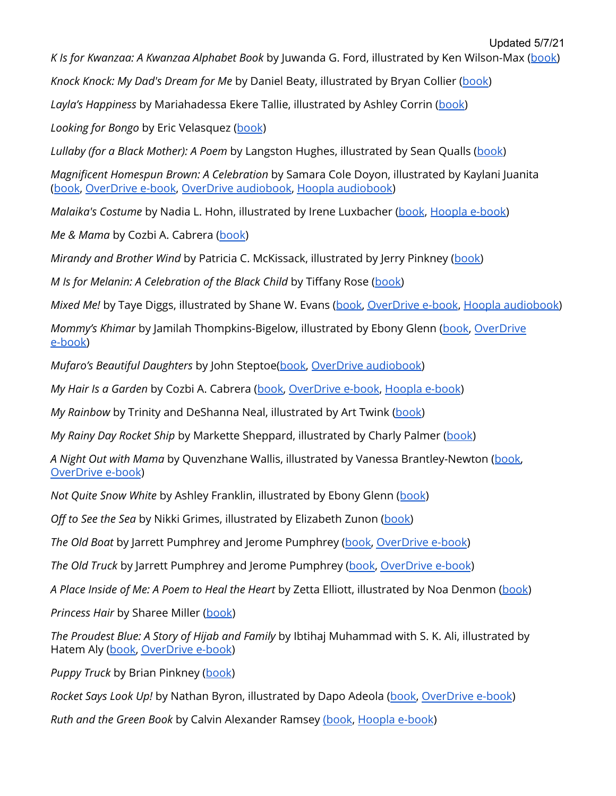*K Is for Kwanzaa: A Kwanzaa Alphabet Book* by Juwanda G. Ford, illustrated by Ken Wilson-Max ([book\)](https://find.minlib.net/iii/encore/record/C__Rb1791834)

*Knock Knock: My Dad's Dream for Me* by Daniel Beaty, illustrated by Bryan Collier ([book\)](https://find.minlib.net/iii/encore/record/C__Rb3114804)

*Layla's Happiness* by Mariahadessa Ekere Tallie, illustrated by Ashley Corrin [\(book\)](https://find.minlib.net/iii/encore/record/C__Rb3874263__Slayla%27s%20happiness__Orightresult__U__X7?lang=eng&suite=cobalt)

*Looking for Bongo* by Eric Velasquez ([book](https://find.minlib.net/iii/encore/record/C__Rb3460751))

*Lullaby (for a Black Mother): A Poem* by Langston Hughes, illustrated by Sean Qualls [\(book](https://find.minlib.net/iii/encore/record/C__Rb3057950))

*Magnificent Homespun Brown: A Celebration* by Samara Cole Doyon, illustrated by Kaylani Juanita ([book](https://find.minlib.net/iii/encore/record/C__Rb3888519), [OverDrive](https://find.minlib.net/iii/encore/record/C__Rb3919616) e-book, OverDrive [audiobook,](https://find.minlib.net/iii/encore/record/C__Rb3921297) Hoopla [audiobook](https://www.hoopladigital.com/title/12939902))

*Malaika's Costume* by Nadia L. Hohn, illustrated by Irene Luxbacher [\(book](https://find.minlib.net/iii/encore/record/C__Rb3463176), [Hoopla](https://www.hoopladigital.com/title/11576347) e-book)

*Me & Mama* by Cozbi A. Cabrera [\(book](https://find.minlib.net/iii/encore/record/C__Rb3939482))

*Mirandy and Brother Wind* by Patricia C. McKissack, illustrated by Jerry Pinkney ([book\)](https://find.minlib.net/iii/encore/record/C__Rb1257855)

*M Is for Melanin: A Celebration of the Black Child* by Tiffany Rose ([book\)](https://find.minlib.net/iii/encore/record/C__Rb3860786)

*Mixed Me!* by Taye Diggs, illustrated by Shane W. Evans [\(book,](https://find.minlib.net/iii/encore/record/C__Rb3283317) [OverDrive](https://find.minlib.net/iii/encore/record/C__Rb3923154) e-book, Hoopla [audiobook\)](https://www.hoopladigital.com/title/12603401)

*Mommy's Khimar* by Jamilah Thompkins-Bigelow, illustrated by Ebony Glenn [\(book](https://find.minlib.net/iii/encore/record/C__Rb3730375), [OverDrive](https://find.minlib.net/iii/encore/record/C__Rb3923152) [e-book\)](https://find.minlib.net/iii/encore/record/C__Rb3923152)

*Mufaro's Beautiful Daughters* by John Steptoe[\(book](https://find.minlib.net/iii/encore/record/C__Rb1351749), OverDrive [audiobook\)](https://find.minlib.net/iii/encore/record/C__Rb3909583)

*My Hair Is a Garden* by Cozbi A. Cabrera ([book,](https://find.minlib.net/iii/encore/record/C__Rb3741877) [OverDrive](https://find.minlib.net/iii/encore/record/C__Rb3922793) e-book, [Hoopla](https://www.hoopladigital.com/title/12310638) e-book)

*My Rainbow* by Trinity and DeShanna Neal, illustrated by Art Twink [\(book](https://find.minlib.net/iii/encore/record/C__Rb3946803))

*My Rainy Day Rocket Ship* by Markette Sheppard, illustrated by Charly Palmer [\(book\)](https://find.minlib.net/iii/encore/record/C__Rb3912005%20Items)

*A Night Out with Mama* by Quvenzhane Wallis, illustrated by Vanessa Brantley-Newton ([book,](https://find.minlib.net/iii/encore/record/C__Rb3663504) [OverDrive](https://find.minlib.net/iii/encore/record/C__Rb3923153) e-book)

*Not Quite Snow White* by Ashley Franklin, illustrated by Ebony Glenn ([book](https://find.minlib.net/iii/encore/record/C__Rb3845152))

*Off to See the Sea* by Nikki Grimes, illustrated by Elizabeth Zunon [\(book\)](https://find.minlib.net/iii/encore/record/C__Rb3964666)

*The Old Boat* by Jarrett Pumphrey and Jerome Pumphrey [\(book,](https://find.minlib.net/iii/encore/record/C__Rb3976598) [OverDrive](https://find.minlib.net/iii/encore/record/C__Rb3997417) e-book)

*The Old Truck* by Jarrett Pumphrey and Jerome Pumphrey [\(book,](https://find.minlib.net/iii/encore/record/C__Rb3882066) [OverDrive](https://find.minlib.net/iii/encore/record/C__Rb3946831) e-book)

*A Place Inside of Me: A Poem to Heal the Heart* by Zetta Elliott, illustrated by Noa Denmon [\(book](https://find.minlib.net/iii/encore/record/C__Rb3940396))

*Princess Hair* by Sharee Miller [\(book\)](https://find.minlib.net/iii/encore/record/C__Rb3657096)

*The Proudest Blue: A Story of Hijab and Family* by Ibtihaj Muhammad with S. K. Ali, illustrated by Hatem Aly [\(book,](https://find.minlib.net/iii/encore/record/C__Rb3855876) [OverDrive](https://find.minlib.net/iii/encore/record/C__Rb3879988) e-book)

*Puppy Truck* by Brian Pinkney ([book](https://find.minlib.net/iii/encore/record/C__Rb3831735))

*Rocket Says Look Up!* by Nathan Byron, illustrated by Dapo Adeola ([book,](https://find.minlib.net/iii/encore/record/C__Rb3837867) [OverDrive](https://find.minlib.net/iii/encore/record/C__Rb3921305) e-book)

*Ruth and the Green Book* by Calvin Alexander Ramsey [\(book](https://find.minlib.net/iii/encore/record/C__Rb2867274), [Hoopla](https://www.hoopladigital.com/title/11374906) e-book)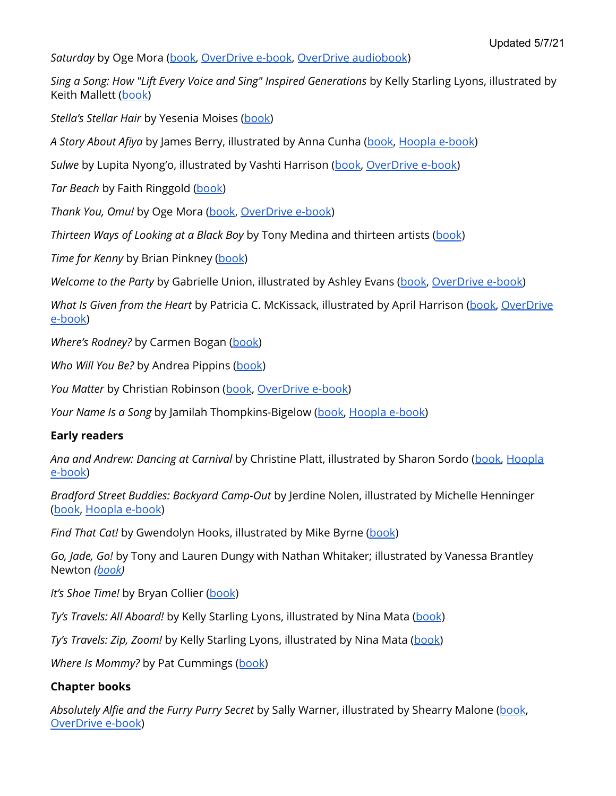*Saturday* by Oge Mora ([book,](https://find.minlib.net/iii/encore/record/C__Rb3857628) [OverDrive](https://find.minlib.net/iii/encore/record/C__Rb3923149) e-book, OverDrive [audiobook](https://find.minlib.net/iii/encore/record/C__Rb3921298))

*Sing a Song: How "Lift Every Voice and Sing" Inspired Generations* by Kelly Starling Lyons, illustrated by Keith Mallett [\(book\)](https://find.minlib.net/iii/encore/record/C__Rb3851722)

*Stella's Stellar Hair* by Yesenia Moises ([book\)](https://find.minlib.net/iii/encore/record/C__Rb3972210)

*A Story About Afiya* by James Berry, illustrated by Anna Cunha [\(book,](https://find.minlib.net/iii/encore/record/C__Rb3900227) [Hoopla](https://www.hoopladigital.com/title/13372938) e-book)

*Sulwe* by Lupita Nyong'o, illustrated by Vashti Harrison ([book,](https://find.minlib.net/iii/encore/record/C__Rb3860785) [OverDrive](https://find.minlib.net/iii/encore/record/C__Rb3882710) e-book)

*Tar Beach* by Faith Ringgold [\(book](https://find.minlib.net/iii/encore/record/C__Rb1405146))

*Thank You, Omu!* by Oge Mora [\(book,](https://find.minlib.net/iii/encore/record/C__Rb3769557) [OverDrive](https://find.minlib.net/iii/encore/record/C__Rb3838568) e-book)

*Thirteen Ways of Looking at a Black Boy* by Tony Medina and thirteen artists [\(book](https://find.minlib.net/iii/encore/record/C__Rb3734033))

*Time for Kenny* by Brian Pinkney [\(book](https://find.minlib.net/iii/encore/record/C__Rb3964654))

*Welcome to the Party* by Gabrielle Union, illustrated by Ashley Evans [\(book,](https://find.minlib.net/iii/encore/record/C__Rb3921267) [OverDrive](https://find.minlib.net/iii/encore/record/C__Rb3922595) e-book)

*What Is Given from the Heart* by Patricia C. McKissack, illustrated by April Harrison [\(book,](https://find.minlib.net/iii/encore/record/C__Rb3814125) [OverDrive](https://find.minlib.net/iii/encore/record/C__Rb3914536) [e-book\)](https://find.minlib.net/iii/encore/record/C__Rb3914536)

*Where's Rodney?* by Carmen Bogan [\(book](https://find.minlib.net/iii/encore/record/C__Rb3647424))

*Who Will You Be?* by Andrea Pippins [\(book\)](https://find.minlib.net/iii/encore/record/C__Rb3901843)

*You Matter* by Christian Robinson ([book](https://find.minlib.net/iii/encore/record/C__Rb3909148), [OverDrive](https://find.minlib.net/iii/encore/record/C__Rb3934702) e-book)

*Your Name Is a Song* by Jamilah Thompkins-Bigelow ([book,](https://find.minlib.net/iii/encore/record/C__Rb3936733) [Hoopla](https://www.hoopladigital.com/title/13563193) e-book)

#### **Early readers**

*Ana and Andrew: Dancing at Carnival* by Christine Platt, illustrated by Sharon Sordo [\(book,](https://find.minlib.net/iii/encore/record/C__Rb3826085) [Hoopla](https://www.hoopladigital.com/title/12388375) [e-book\)](https://www.hoopladigital.com/title/12388375)

*Bradford Street Buddies: Backyard Camp-Out* by Jerdine Nolen, illustrated by Michelle Henninger ([book](https://find.minlib.net/iii/encore/record/C__Rb3274692), [Hoopla](https://www.hoopladigital.com/title/12035212) e-book)

*Find That Cat!* by Gwendolyn Hooks, illustrated by Mike Byrne [\(book](https://find.minlib.net/iii/encore/record/C__Rb2847758))

*Go, Jade, Go!* by Tony and Lauren Dungy with Nathan Whitaker; illustrated by Vanessa Brantley Newton *([book\)](https://find.minlib.net/iii/encore/record/C__Rb3080765)*

*It's Shoe Time!* by Bryan Collier [\(book](https://find.minlib.net/iii/encore/record/C__Rb3663724))

*Ty's Travels: All Aboard!* by Kelly Starling Lyons, illustrated by Nina Mata [\(book](https://find.minlib.net/iii/encore/record/C__Rb3937999))

*Ty's Travels: Zip, Zoom!* by Kelly Starling Lyons, illustrated by Nina Mata ([book](https://find.minlib.net/iii/encore/record/C__Rb3937993))

*Where Is Mommy?* by Pat Cummings ([book](https://find.minlib.net/iii/encore/record/C__Rb3871363))

# **Chapter books**

*Absolutely Alfie and the Furry Purry Secret* by Sally Warner, illustrated by Shearry Malone ([book,](https://find.minlib.net/iii/encore/record/C__Rb3663539) [OverDrive](https://find.minlib.net/iii/encore/record/C__Rb3741555) e-book)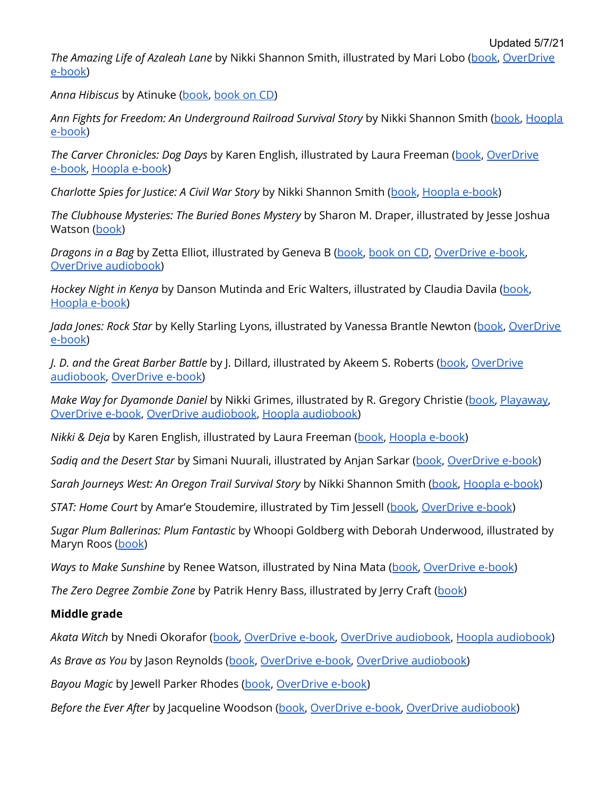*The Amazing Life of Azaleah Lane* by Nikki Shannon Smith, illustrated by Mari Lobo ([book](https://find.minlib.net/iii/encore/record/C__Rb3888993), [OverDrive](https://find.minlib.net/iii/encore/record/C__Rb3922801) [e-book\)](https://find.minlib.net/iii/encore/record/C__Rb3922801)

*Anna Hibiscus* by Atinuke [\(book](https://find.minlib.net/iii/encore/record/C__Rb2850792), [book](https://find.minlib.net/iii/encore/record/C__Rb3046100) on CD)

*Ann Fights for Freedom: An Underground Railroad Survival Story* by Nikki Shannon Smith [\(book](https://find.minlib.net/iii/encore/record/C__Rb3812699), [Hoopla](https://www.hoopladigital.com/title/13806919) [e-book\)](https://www.hoopladigital.com/title/13806919)

*The Carver Chronicles: Dog Days* by Karen English, illustrated by Laura Freeman ([book](https://find.minlib.net/iii/encore/record/C__Rb3132064), [OverDrive](https://find.minlib.net/iii/encore/record/C__Rb3166188) [e-book,](https://find.minlib.net/iii/encore/record/C__Rb3166188) [Hoopla](https://www.hoopladigital.com/title/12015521) e-book)

*Charlotte Spies for Justice: A Civil War Story* by Nikki Shannon Smith ([book](https://find.minlib.net/iii/encore/record/C__Rb3875849), [Hoopla](https://www.hoopladigital.com/title/13807649) e-book)

*The Clubhouse Mysteries: The Buried Bones Mystery* by Sharon M. Draper, illustrated by Jesse Joshua Watson [\(book](https://find.minlib.net/iii/encore/record/C__Rb3917302))

*Dragons in a Bag* by Zetta Elliot, illustrated by Geneva B [\(book](https://find.minlib.net/iii/encore/record/C__Rb3776772), [book](https://find.minlib.net/iii/encore/record/C__Rb3777566) on CD, [OverDrive](https://find.minlib.net/iii/encore/record/C__Rb3792203) e-book, OverDrive [audiobook\)](https://find.minlib.net/iii/encore/record/C__Rb3824900)

*Hockey Night in Kenya* by Danson Mutinda and Eric Walters, illustrated by Claudia Davila [\(book,](https://find.minlib.net/iii/encore/record/C__Rb3939128) [Hoopla](https://www.hoopladigital.com/title/13581462) e-book)

*Jada Jones: Rock Star* by Kelly Starling Lyons, illustrated by Vanessa Brantle Newton ([book](https://find.minlib.net/iii/encore/record/C__Rb3653526), [OverDrive](https://find.minlib.net/iii/encore/record/C__Rb3842917) [e-book\)](https://find.minlib.net/iii/encore/record/C__Rb3842917)

*J. D. and the Great Barber Battle* by J. Dillard, illustrated by Akeem S. Roberts [\(book](https://find.minlib.net/iii/encore/record/C__Rb3970836), [OverDrive](https://find.minlib.net/iii/encore/record/C__Rb3999417) [audiobook](https://find.minlib.net/iii/encore/record/C__Rb3999417), [OverDrive](https://find.minlib.net/iii/encore/record/C__Rb3999464) e-book)

*Make Way for Dyamonde Daniel* by Nikki Grimes, illustrated by R. Gregory Christie [\(book,](https://find.minlib.net/iii/encore/record/C__Rb2742605) [Playaway,](https://find.minlib.net/iii/encore/record/C__Rb2921201) [OverDrive](https://find.minlib.net/iii/encore/record/C__Rb3172948) e-book, OverDrive [audiobook](https://find.minlib.net/iii/encore/record/C__Rb3017722), Hoopla [audiobook\)](https://www.hoopladigital.com/title/11143883)

*Nikki & Deja* by Karen English, illustrated by Laura Freeman ([book](https://find.minlib.net/iii/encore/record/C__Rb2524402), [Hoopla](https://www.hoopladigital.com/title/12024040) e-book)

*Sadiq and the Desert Star* by Simani Nuurali, illustrated by Anjan Sarkar ([book](https://find.minlib.net/iii/encore/record/C__Rb3855372), [OverDrive](https://find.minlib.net/iii/encore/record/C__Rb3921339) e-book)

*Sarah Journeys West: An Oregon Trail Survival Story* by Nikki Shannon Smith [\(book](https://find.minlib.net/iii/encore/record/C__Rb3901066), [Hoopla](https://www.hoopladigital.com/title/13807481) e-book)

*STAT: Home Court* by Amar'e Stoudemire, illustrated by Tim Jessell ([book,](https://find.minlib.net/iii/encore/record/C__Rb3012295) [OverDrive](https://find.minlib.net/iii/encore/record/C__Rb3858149) e-book)

*Sugar Plum Ballerinas: Plum Fantastic* by Whoopi Goldberg with Deborah Underwood, illustrated by Maryn Roos [\(book](https://find.minlib.net/iii/encore/record/C__Rb2614352))

*Ways to Make Sunshine* by Renee Watson, illustrated by Nina Mata ([book,](https://find.minlib.net/iii/encore/record/C__Rb3906560) [OverDrive](https://find.minlib.net/iii/encore/record/C__Rb3917302) e-book)

*The Zero Degree Zombie Zone* by Patrik Henry Bass, illustrated by Jerry Craft [\(book\)](https://find.minlib.net/iii/encore/record/C__Rb3183471)

# **Middle grade**

*Akata Witch* by Nnedi Okorafor ([book,](https://find.minlib.net/iii/encore/record/C__Rb2900477) [OverDrive](https://find.minlib.net/iii/encore/record/C__Rb3499444) e-book, OverDrive [audiobook](https://find.minlib.net/iii/encore/record/C__Rb3750492), Hoopla [audiobook](https://www.hoopladigital.com/title/12087753))

*As Brave as You* by Jason Reynolds ([book](https://find.minlib.net/iii/encore/record/C__Rb3490918), [OverDrive](https://find.minlib.net/iii/encore/record/C__Rb3606873) e-book, OverDrive [audiobook\)](https://find.minlib.net/iii/encore/record/C__Rb3607413)

*Bayou Magic* by Jewell Parker Rhodes [\(book](https://find.minlib.net/iii/encore/record/C__Rb3224438), [OverDrive](https://find.minlib.net/iii/encore/record/C__Rb3861015) e-book)

*Before the Ever After* by Jacqueline Woodson [\(book,](https://find.minlib.net/iii/encore/record/C__Rb3937327) [OverDrive](https://find.minlib.net/iii/encore/record/C__Rb3949038) e-book, OverDrive [audiobook](https://find.minlib.net/iii/encore/record/C__Rb3949013))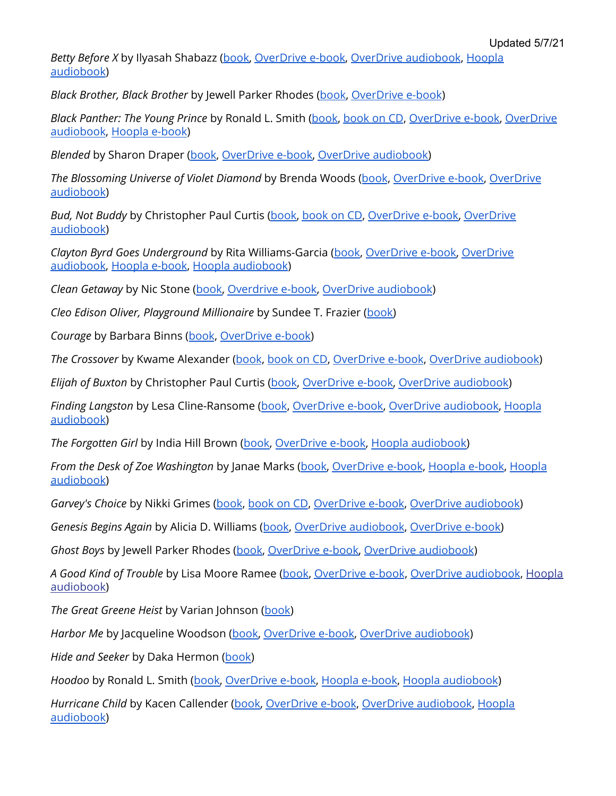Updated 5/7/21

*Betty Before X* by Ilyasah Shabazz ([book,](https://find.minlib.net/iii/encore/record/C__Rb3711498) [OverDrive](https://find.minlib.net/iii/encore/record/C__Rb3727083) e-book, OverDrive [audiobook](https://find.minlib.net/iii/encore/record/C__Rb3750982), [Hoopla](https://www.hoopladigital.com/title/12142690) [audiobook](https://www.hoopladigital.com/title/12142690))

*Black Brother, Black Brother* by Jewell Parker Rhodes [\(book,](https://find.minlib.net/iii/encore/record/C__Rb3894959) [OverDrive](https://find.minlib.net/iii/encore/record/C__Rb3912790) e-book)

*Black Panther: The Young Prince* by Ronald L. Smith [\(book,](https://find.minlib.net/iii/encore/record/C__Rb3711028) [book](https://find.minlib.net/iii/encore/record/C__Rb3727154) on CD, [OverDrive](https://find.minlib.net/iii/encore/record/C__Rb3753984) e-book, [OverDrive](https://find.minlib.net/iii/encore/record/C__Rb3835840) [audiobook](https://find.minlib.net/iii/encore/record/C__Rb3835840), [Hoopla](https://www.hoopladigital.com/title/12012994) e-book)

*Blended* by Sharon Draper [\(book](https://find.minlib.net/iii/encore/record/C__Rb3775844), [OverDrive](https://find.minlib.net/iii/encore/record/C__Rb3804893) e-book, OverDrive [audiobook\)](https://find.minlib.net/iii/encore/record/C__Rb3804893)

*The Blossoming Universe of Violet Diamond* by Brenda Woods ([book](https://find.minlib.net/iii/encore/record/C__Rb3131117), [OverDrive](https://find.minlib.net/iii/encore/record/C__Rb3208069) e-book, [OverDrive](https://find.minlib.net/iii/encore/record/C__Rb3657069) [audiobook](https://find.minlib.net/iii/encore/record/C__Rb3657069))

*Bud, Not Buddy* by Christopher Paul Curtis [\(book,](https://find.minlib.net/iii/encore/record/C__Rb1901456) [book](https://find.minlib.net/iii/encore/record/C__Rb2122626) on CD, [OverDrive](https://find.minlib.net/iii/encore/record/C__Rb2948151) e-book, [OverDrive](https://find.minlib.net/iii/encore/record/C__Rb2869629) [audiobook](https://find.minlib.net/iii/encore/record/C__Rb2869629))

*Clayton Byrd Goes Underground* by Rita Williams-Garcia [\(book](https://find.minlib.net/iii/encore/record/C__Rb3623189), [OverDrive](https://find.minlib.net/iii/encore/record/C__Rb3749037) e-book, [OverDrive](https://find.minlib.net/iii/encore/record/C__Rb3718219) [audiobook](https://find.minlib.net/iii/encore/record/C__Rb3718219), [Hoopla](https://www.hoopladigital.com/title/12458297) e-book, Hoopla [audiobook](https://www.hoopladigital.com/title/11862607))

*Clean Getaway* by Nic Stone ([book,](https://find.minlib.net/iii/encore/record/C__Rb3878248) [Overdrive](https://find.minlib.net/iii/encore/record/C__Rb3901505) e-book, OverDrive [audiobook\)](https://find.minlib.net/iii/encore/record/C__Rb3916892)

*Cleo Edison Oliver, Playground Millionaire* by Sundee T. Frazier ([book\)](https://find.minlib.net/iii/encore/record/C__Rb3445361)

*Courage* by Barbara Binns ([book](https://find.minlib.net/iii/encore/record/C__Rb3750284), [OverDrive](https://find.minlib.net/iii/encore/record/C__Rb3922664) e-book)

*The Crossover* by Kwame Alexander ([book](https://find.minlib.net/iii/encore/record/C__Rb3145333), [book](https://find.minlib.net/iii/encore/record/C__Rb3183108) on CD, [OverDrive](https://find.minlib.net/iii/encore/record/C__Rb3166189) e-book, OverDrive [audiobook](https://find.minlib.net/iii/encore/record/C__Rb3438186))

*Elijah of Buxton* by Christopher Paul Curtis [\(book](https://find.minlib.net/iii/encore/record/C__Rb2520876), [OverDrive](https://find.minlib.net/iii/encore/record/C__Rb3433532) e-book, OverDrive [audiobook\)](https://find.minlib.net/iii/encore/record/C__Rb2754881)

*Finding Langston* by Lesa Cline-Ransome ([book](https://find.minlib.net/iii/encore/record/C__Rb3765828), [OverDrive](https://find.minlib.net/iii/encore/record/C__Rb3792201) e-book, OverDrive [audiobook,](https://find.minlib.net/iii/encore/record/C__Rb3815796) [Hoopla](https://www.hoopladigital.com/title/12180208) [audiobook](https://www.hoopladigital.com/title/12180208))

*The Forgotten Girl* by India Hill Brown [\(book](https://find.minlib.net/iii/encore/record/C__Rb3871368), [OverDrive](https://find.minlib.net/iii/encore/record/C__Rb3898280) e-book, Hoopla [audiobook\)](https://www.hoopladigital.com/title/12449422)

*From the Desk of Zoe Washington* by Janae Marks [\(book,](https://find.minlib.net/iii/encore/record/C__Rb3878273) [OverDrive](https://find.minlib.net/iii/encore/record/C__Rb3900030) e-book, [Hoopla](https://www.hoopladigital.com/title/13215872) e-book, [Hoopla](https://www.hoopladigital.com/title/12453879) [audiobook](https://www.hoopladigital.com/title/12453879))

*Garvey's Choice* by Nikki Grimes [\(book](https://find.minlib.net/iii/encore/record/C__Rb3522128), [book](https://find.minlib.net/iii/encore/record/C__Rb3609005) on CD, [OverDrive](https://find.minlib.net/iii/encore/record/C__Rb3595026) e-book, OverDrive [audiobook\)](https://find.minlib.net/iii/encore/record/C__Rb3919035)

*Genesis Begins Again* by Alicia D. Williams ([book](https://find.minlib.net/iii/encore/record/C__Rb3800380), OverDrive [audiobook](https://find.minlib.net/iii/encore/record/C__Rb3907921), [OverDrive](https://find.minlib.net/iii/encore/record/C__Rb3833000) e-book)

*Ghost Boys* by Jewell Parker Rhodes [\(book,](https://find.minlib.net/iii/encore/record/C__Rb3725843) [OverDrive](https://find.minlib.net/iii/encore/record/C__Rb3755149) e-book, OverDrive [audiobook](https://find.minlib.net/iii/encore/record/C__Rb3750219))

*A Good Kind of Trouble* by Lisa Moore Ramee [\(book,](https://find.minlib.net/iii/encore/record/C__Rb3812178) [OverDrive](https://find.minlib.net/iii/encore/record/C__Rb3841711) e-book, OverDrive [audiobook](https://find.minlib.net/iii/encore/record/C__Rb3837378), [Hoopla](https://www.hoopladigital.com/title/12283254) [audiobook](https://www.hoopladigital.com/title/12283254))

*The Great Greene Heist* by Varian Johnson ([book\)](https://find.minlib.net/iii/encore/record/C__Rb3156147)

*Harbor Me* by Jacqueline Woodson ([book,](https://find.minlib.net/iii/encore/record/C__Rb3763593) [OverDrive](https://find.minlib.net/iii/encore/record/C__Rb3783411) e-book, OverDrive [audiobook](https://find.minlib.net/iii/encore/record/C__Rb3779515))

*Hide and Seeker* by Daka Hermon ([book\)](https://find.minlib.net/iii/encore/record/C__Rb3939121)

*Hoodoo* by Ronald L. Smith ([book,](https://find.minlib.net/iii/encore/record/C__Rb3269199) [OverDrive](https://find.minlib.net/iii/encore/record/C__Rb3462387) e-book, [Hoopla](https://www.hoopladigital.com/title/13391079) e-book, Hoopla [audiobook](https://www.hoopladigital.com/title/11779943))

*Hurricane Child* by Kacen Callender [\(book,](https://find.minlib.net/iii/encore/record/C__Rb3724024) [OverDrive](https://find.minlib.net/iii/encore/record/C__Rb3748449) e-book, OverDrive [audiobook](https://find.minlib.net/iii/encore/record/C__Rb3815795), [Hoopla](https://www.hoopladigital.com/title/12046145) [audiobook](https://www.hoopladigital.com/title/12046145))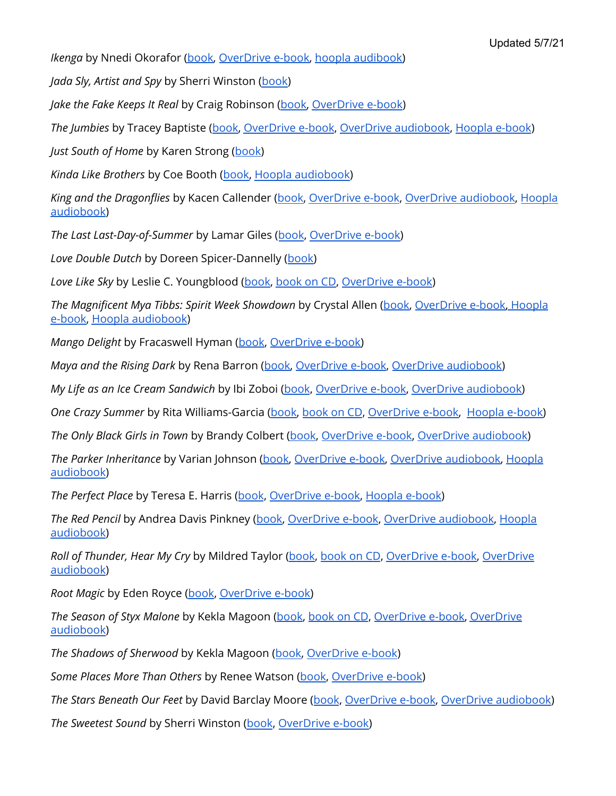*Ikenga* by Nnedi Okorafor [\(book](https://find.minlib.net/iii/encore/record/C__Rb3936761), [OverDrive](https://find.minlib.net/iii/encore/record/C__Rb3950617) e-book, hoopla [audibook\)](https://www.hoopladigital.com/title/13792889)

*Jada Sly, Artist and Spy* by Sherri Winston [\(book](https://find.minlib.net/iii/encore/record/C__Rb3831109))

*Jake the Fake Keeps It Real* by Craig Robinson ([book,](https://find.minlib.net/iii/encore/record/C__Rb3608574) [OverDrive](https://find.minlib.net/iii/encore/record/C__Rb3873091) e-book)

*The Jumbies* by Tracey Baptiste [\(book,](https://find.minlib.net/iii/encore/record/C__Rb3224674) [OverDrive](https://find.minlib.net/iii/encore/record/C__Rb3240233) e-book, OverDrive [audiobook](https://find.minlib.net/iii/encore/record/C__Rb3789844), [Hoopla](https://www.hoopladigital.com/title/11693274) e-book)

*Just South of Home* by Karen Strong ([book](https://find.minlib.net/iii/encore/record/C__Rb3829689))

*Kinda Like Brothers* by Coe Booth ([book,](https://find.minlib.net/iii/encore/record/C__Rb3181463) Hoopla [audiobook\)](https://www.hoopladigital.com/title/11353354)

*King and the Dragonflies* by Kacen Callender ([book,](https://find.minlib.net/iii/encore/record/C__Rb3894391) [OverDrive](https://find.minlib.net/iii/encore/record/C__Rb3916997) e-book, OverDrive [audiobook](https://find.minlib.net/iii/encore/record/C__Rb3914235), [Hoopla](https://www.hoopladigital.com/title/12580970) [audiobook](https://www.hoopladigital.com/title/12580970))

*The Last Last-Day-of-Summer* by Lamar Giles ([book](https://find.minlib.net/iii/encore/record/C__Rb3823106), [OverDrive](https://find.minlib.net/iii/encore/record/C__Rb3868913) e-book)

*Love Double Dutch* by Doreen Spicer-Dannelly ([book\)](https://find.minlib.net/iii/encore/record/C__Rb3725305)

*Love Like Sky* by Leslie C. Youngblood [\(book,](https://find.minlib.net/iii/encore/record/C__Rb3784614) [book](https://find.minlib.net/iii/encore/record/C__Rb3881922) on CD, [OverDrive](https://find.minlib.net/iii/encore/record/C__Rb3811826) e-book)

*The Magnificent Mya Tibbs: Spirit Week Showdown* by Crystal Allen [\(book,](https://find.minlib.net/iii/encore/record/C__Rb3620096) [OverDrive](https://find.minlib.net/iii/encore/record/C__Rb3934700) e-book[,](https://www.hoopladigital.com/title/11629810) [Hoopla](https://www.hoopladigital.com/title/12346745) [e-book,](https://www.hoopladigital.com/title/12346745) Hoopla [audiobook](https://www.hoopladigital.com/title/11629810))

*Mango Delight* by Fracaswell Hyman [\(book](https://find.minlib.net/iii/encore/record/C__Rb3639598), [OverDrive](https://find.minlib.net/iii/encore/record/C__Rb3914139) e-book)

*Maya and the Rising Dark* by Rena Barron ([book,](https://find.minlib.net/iii/encore/record/C__Rb3912572) [OverDrive](https://find.minlib.net/iii/encore/record/C__Rb3965048) e-book, OverDrive [audiobook\)](https://find.minlib.net/iii/encore/record/C__Rb3963923)

*My Life as an Ice Cream Sandwich* by Ibi Zoboi [\(book](https://find.minlib.net/iii/encore/record/C__Rb3839209), [OverDrive](https://find.minlib.net/iii/encore/record/C__Rb3870928) e-book, OverDrive [audiobook\)](https://find.minlib.net/iii/encore/record/C__Rb3893613)

*One Crazy Summer* by Rita Williams-Garcia [\(book,](https://find.minlib.net/iii/encore/record/C__Rb2965009) [book](https://find.minlib.net/iii/encore/record/C__Rb2849273) on CD, [OverDrive](https://find.minlib.net/iii/encore/record/C__Rb3094839) e-book, [Hoopla](https://www.hoopladigital.com/title/13096024) e-book)

*The Only Black Girls in Town* by Brandy Colbert [\(book](https://find.minlib.net/iii/encore/record/C__Rb3894992), [OverDrive](https://find.minlib.net/iii/encore/record/C__Rb3914245) e-book, OverDrive [audiobook\)](https://find.minlib.net/iii/encore/record/C__Rb3914223)

*The Parker Inheritance* by Varian Johnson [\(book](https://find.minlib.net/iii/encore/record/C__Rb3718542), [OverDrive](https://find.minlib.net/iii/encore/record/C__Rb3755946) e-book, OverDrive [audiobook,](https://find.minlib.net/iii/encore/record/C__Rb3755929) [Hoopla](https://www.hoopladigital.com/title/12064088) [audiobook](https://www.hoopladigital.com/title/12064088))

*The Perfect Place* by Teresa E. Harris ([book](https://find.minlib.net/iii/encore/record/C__Rb3194033), [OverDrive](https://find.minlib.net/iii/encore/record/C__Rb3205547) e-book, [Hoopla](https://www.hoopladigital.com/title/12020013) e-book)

*The Red Pencil* by Andrea Davis Pinkney ([book,](https://find.minlib.net/iii/encore/record/C__Rb3179837) [OverDrive](https://find.minlib.net/iii/encore/record/C__Rb3609074) e-book, OverDrive [audiobook](https://find.minlib.net/iii/encore/record/C__Rb3210434), [Hoopla](https://www.hoopladigital.com/title/11608815) [audiobook](https://www.hoopladigital.com/title/11608815))

*Roll of Thunder, Hear My Cry* by Mildred Taylor [\(book](https://find.minlib.net/iii/encore/record/C__Rb2505728), [book](https://find.minlib.net/iii/encore/record/C__Rb2151516) on CD, [OverDrive](https://find.minlib.net/iii/encore/record/C__Rb3160776) e-book, [OverDrive](https://find.minlib.net/iii/encore/record/C__Rb3008523) [audiobook](https://find.minlib.net/iii/encore/record/C__Rb3008523))

*Root Magic* by Eden Royce [\(book,](https://find.minlib.net/iii/encore/record/C__Rb3969888) [OverDrive](https://find.minlib.net/iii/encore/record/C__Rb3984439) e-book)

*The Season of Styx Malone* by Kekla Magoon [\(book,](https://find.minlib.net/iii/encore/record/C__Rb3766789) [book](https://find.minlib.net/iii/encore/record/C__Rb3803009) on CD, [OverDrive](https://find.minlib.net/iii/encore/record/C__Rb3811838) e-book, [OverDrive](https://find.minlib.net/iii/encore/record/C__Rb3803481) [audiobook](https://find.minlib.net/iii/encore/record/C__Rb3803481))

*The Shadows of Sherwood* by Kekla Magoon ([book,](https://find.minlib.net/iii/encore/record/C__Rb3275805) [OverDrive](https://find.minlib.net/iii/encore/record/C__Rb3660176) e-book)

*Some Places More Than Others* by Renee Watson [\(book](https://find.minlib.net/iii/encore/record/C__Rb3851936), [OverDrive](https://find.minlib.net/iii/encore/record/C__Rb3888582) e-book)

*The Stars Beneath Our Feet* by David Barclay Moore ([book](https://find.minlib.net/iii/encore/record/C__Rb3653519), [OverDrive](https://find.minlib.net/iii/encore/record/C__Rb3713555) e-book, OverDrive [audiobook\)](https://find.minlib.net/iii/encore/record/C__Rb3718226)

*The Sweetest Sound* by Sherri Winston [\(book](https://find.minlib.net/iii/encore/record/C__Rb3568041), [OverDrive](https://find.minlib.net/iii/encore/record/C__Rb3760087) e-book)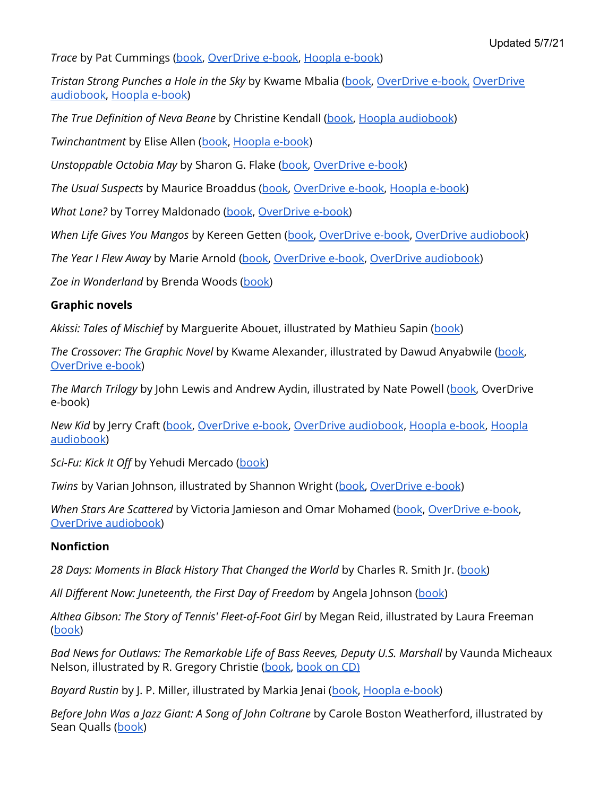*Trace* by Pat Cummings [\(book](https://find.minlib.net/iii/encore/record/C__Rb3812967), [OverDrive](https://find.minlib.net/iii/encore/record/C__Rb3855573) e-book, [Hoopla](https://www.hoopladigital.com/title/13219199) e-book)

*Tristan Strong Punches a Hole in the Sky* by Kwame Mbalia [\(book](https://find.minlib.net/iii/encore/record/C__Rb3858985), [OverDrive](https://find.minlib.net/iii/encore/record/C__Rb3893331) e-book, [OverDrive](https://find.minlib.net/iii/encore/record/C__Rb3885653) [audiobook](https://find.minlib.net/iii/encore/record/C__Rb3885653), [Hoopla](https://www.hoopladigital.com/title/12572336) e-book)

*The True Definition of Neva Beane* by Christine Kendall [\(book](https://find.minlib.net/iii/encore/record/C__Rb3939100), Hoopla [audiobook](https://www.hoopladigital.com/title/13423727))

*Twinchantment* by Elise Allen ([book](https://find.minlib.net/iii/encore/record/C__Rb3823091), [Hoopla](https://www.hoopladigital.com/title/12347514) e-book)

*Unstoppable Octobia May* by Sharon G. Flake [\(book,](https://find.minlib.net/iii/encore/record/C__Rb3182765) [OverDrive](https://find.minlib.net/iii/encore/record/C__Rb3521605) e-book)

*The Usual Suspects* by Maurice Broaddus ([book](https://find.minlib.net/iii/encore/record/C__Rb3829703), [OverDrive](https://find.minlib.net/iii/encore/record/C__Rb3893633) e-book, [Hoopla](https://www.hoopladigital.com/title/13218686) e-book)

*What Lane?* by Torrey Maldonado [\(book](https://find.minlib.net/iii/encore/record/C__Rb3899951), [OverDrive](https://find.minlib.net/iii/encore/record/C__Rb3916713) e-book)

*When Life Gives You Mangos* by Kereen Getten [\(book,](https://find.minlib.net/iii/encore/record/C__Rb3941643) [OverDrive](https://find.minlib.net/iii/encore/record/C__Rb3963465) e-book, OverDrive [audiobook](https://find.minlib.net/iii/encore/record/C__Rb3972438))

*The Year I Flew Away* by Marie Arnold ([book,](https://find.minlib.net/iii/encore/record/C__Rb3970147) [OverDrive](https://find.minlib.net/iii/encore/record/C__Rb3990708) e-book, OverDrive [audiobook](https://find.minlib.net/iii/encore/record/C__Rb3990685))

*Zoe in Wonderland* by Brenda Woods [\(book\)](https://find.minlib.net/iii/encore/record/C__Rb3521501)

#### **Graphic novels**

*Akissi: Tales of Mischief* by Marguerite Abouet, illustrated by Mathieu Sapin ([book](https://find.minlib.net/iii/encore/record/C__Rb3743284))

*The Crossover: The Graphic Novel* by Kwame Alexander, illustrated by Dawud Anyabwile [\(book](https://find.minlib.net/iii/encore/record/C__Rb3859066), [OverDrive](https://find.minlib.net/iii/encore/record/C__Rb3874869) e-book)

*The March Trilogy* by John Lewis and Andrew Aydin, illustrated by Nate Powell ([book](https://find.minlib.net/iii/encore/record/C__Rb3100929), OverDrive e-book)

*New Kid* by Jerry Craft [\(book](https://find.minlib.net/iii/encore/record/C__Rb3804935), [OverDrive](https://find.minlib.net/iii/encore/record/C__Rb3824020) e-book, OverDrive [audiobook](https://find.minlib.net/iii/encore/record/C__Rb3844133), [Hoopla](https://www.hoopladigital.com/title/13038351) e-book, [Hoopla](https://www.hoopladigital.com/title/12195191) [audiobook](https://www.hoopladigital.com/title/12195191))

*Sci-Fu: Kick It Off* by Yehudi Mercado [\(book\)](https://find.minlib.net/iii/encore/record/C__Rb3731643)

*Twins* by Varian Johnson, illustrated by Shannon Wright ([book,](https://find.minlib.net/iii/encore/record/C__Rb3938160) [OverDrive](https://find.minlib.net/iii/encore/record/C__Rb3963937) e-book)

*When Stars Are Scattered* by Victoria Jamieson and Omar Mohamed [\(book](https://find.minlib.net/iii/encore/record/C__Rb3896218), [OverDrive](https://find.minlib.net/iii/encore/record/C__Rb3914567) e-book[,](https://find.minlib.net/iii/encore/record/C__Rb3934676) OverDrive [audiobook\)](https://find.minlib.net/iii/encore/record/C__Rb3934676)

#### **Nonfiction**

*28 Days: Moments in Black History That Changed the World* by Charles R. Smith Jr. ([book\)](https://find.minlib.net/iii/encore/record/C__Rb3206484)

*All Different Now: Juneteenth, the First Day of Freedom* by Angela Johnson [\(book\)](https://find.minlib.net/iii/encore/record/C__Rb3150118)

*Althea Gibson: The Story of Tennis' Fleet-of-Foot Girl* by Megan Reid, illustrated by Laura Freeman ([book](https://find.minlib.net/iii/encore/record/C__Rb3893540))

*Bad News for Outlaws: The Remarkable Life of Bass Reeves, Deputy U.S. Marshall* by Vaunda Micheaux Nelson, illustrated by R. Gregory Christie [\(book](https://find.minlib.net/iii/encore/record/C__Rb2727014), [book](https://find.minlib.net/iii/encore/record/C__Rb2775644) on CD)

*Bayard Rustin* by J. P. Miller, illustrated by Markia Jenai [\(book,](https://find.minlib.net/iii/encore/record/C__Rb3961446) [Hoopla](https://www.hoopladigital.com/title/13327656) e-book)

*Before John Was a Jazz Giant: A Song of John Coltrane* by Carole Boston Weatherford, illustrated by Sean Qualls ([book](https://find.minlib.net/iii/encore/record/C__Rb2561701))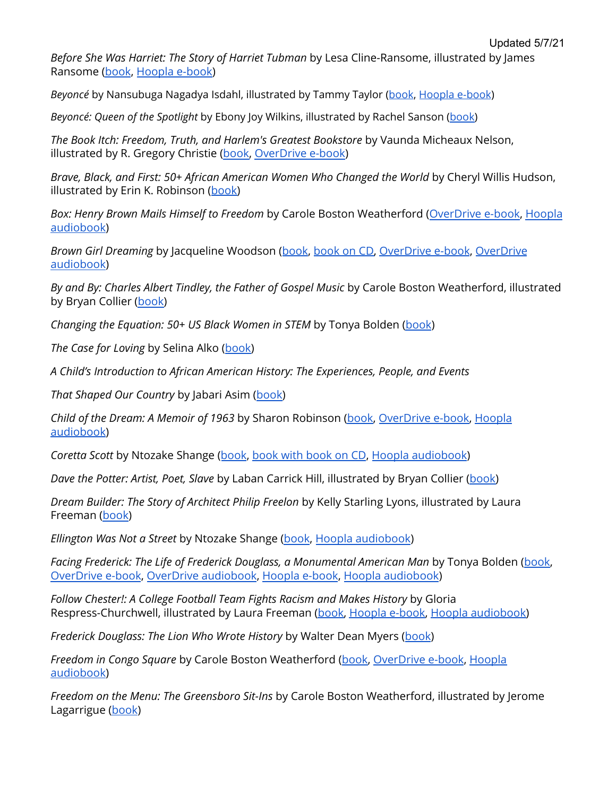*Before She Was Harriet: The Story of Harriet Tubman* by Lesa Cline-Ransome, illustrated by James Ransome [\(book](https://find.minlib.net/iii/encore/record/C__Rb3657109), [Hoopla](https://www.hoopladigital.com/title/12638218) e-book)

*Beyoncé* by Nansubuga Nagadya Isdahl, illustrated by Tammy Taylor ([book](https://find.minlib.net/iii/encore/record/C__Rb3993616), [Hoopla e-book](https://www.hoopladigital.com/title/13652700))

*Beyoncé: Queen of the Spotlight* by Ebony Joy Wilkins, illustrated by Rachel Sanson [\(book\)](https://find.minlib.net/iii/encore/record/C__Rb3896372)

*The Book Itch: Freedom, Truth, and Harlem's Greatest Bookstore* by Vaunda Micheaux Nelson, illustrated by R. Gregory Christie ([book,](https://find.minlib.net/iii/encore/record/C__Rb3429507) [OverDrive](https://find.minlib.net/iii/encore/record/C__Rb3462388) e-book)

*Brave, Black, and First: 50+ African American Women Who Changed the World* by Cheryl Willis Hudson, illustrated by Erin K. Robinson ([book\)](https://find.minlib.net/iii/encore/record/C__Rb3894994)

*Box: Henry Brown Mails Himself to Freedom* by Carole Boston Weatherford ([OverDrive](https://find.minlib.net/iii/encore/record/C__Rb3905770__Shenry%20brown%20weatherford__Orightresult__U__X2?lang=eng&suite=cobalt) e-book, [Hoopla](https://www.hoopladigital.com/title/13200078) [audiobook](https://www.hoopladigital.com/title/13200078))

*Brown Girl Dreaming* by Jacqueline Woodson ([book](https://find.minlib.net/iii/encore/record/C__Rb3176857), [book](https://find.minlib.net/iii/encore/record/C__Rb3181126) on CD, [OverDrive](https://find.minlib.net/iii/encore/record/C__Rb3194714) e-book, [OverDrive](https://find.minlib.net/iii/encore/record/C__Rb3191715) [audiobook](https://find.minlib.net/iii/encore/record/C__Rb3191715))

*By and By: Charles Albert Tindley, the Father of Gospel Music* by Carole Boston Weatherford, illustrated by Bryan Collier [\(book\)](https://find.minlib.net/iii/encore/record/C__Rb3886338)

*Changing the Equation: 50+ US Black Women in STEM* by Tonya Bolden [\(book](https://find.minlib.net/iii/encore/record/C__Rb3894980))

*The Case for Loving* by Selina Alko ([book\)](https://find.minlib.net/iii/encore/record/C__Rb3205903)

*A Child's Introduction to African American History: The Experiences, People, and Events*

*That Shaped Our Country* by Jabari Asim ([book\)](https://find.minlib.net/iii/encore/record/C__Rb3713701)

*Child of the Dream: A Memoir of 1963* by Sharon Robinson [\(book,](https://find.minlib.net/iii/encore/record/C__Rb3856968) [OverDrive](https://find.minlib.net/iii/encore/record/C__Rb3906135) e-book, [Hoopla](https://www.hoopladigital.com/title/12414866) [audiobook](https://www.hoopladigital.com/title/12414866))

*Coretta Scott* by Ntozake Shange ([book](https://find.minlib.net/iii/encore/record/C__Rb2635153), book with [book](https://find.minlib.net/iii/encore/record/C__Rb3134908) on CD, Hoopla [audiobook](https://www.hoopladigital.com/title/11200577))

*Dave the Potter: Artist, Poet, Slave* by Laban Carrick Hill, illustrated by Bryan Collier ([book\)](https://find.minlib.net/iii/encore/record/C__Rb2853485)

*Dream Builder: The Story of Architect Philip Freelon* by Kelly Starling Lyons, illustrated by Laura Freeman [\(book\)](https://find.minlib.net/iii/encore/record/C__Rb3894967)

*Ellington Was Not a Street* by Ntozake Shange [\(book](https://find.minlib.net/iii/encore/record/C__Rb2200745), Hoopla [audiobook](https://www.hoopladigital.com/title/10740144))

*Facing Frederick: The Life of Frederick Douglass, a Monumental American Man* by Tonya Bolden [\(book,](https://find.minlib.net/iii/encore/record/C__Rb3681047) [OverDrive](https://find.minlib.net/iii/encore/record/C__Rb3815840) e-book, OverDrive [audiobook](https://find.minlib.net/iii/encore/record/C__Rb3819185), [Hoopla](https://www.hoopladigital.com/title/12466316) e-book, Hoopla [audiobook](https://www.hoopladigital.com/title/12017513))

*Follow Chester!: A College Football Team Fights Racism and Makes History* by Gloria Respress-Churchwell, illustrated by Laura Freeman [\(book,](https://find.minlib.net/iii/encore/record/C__Rb3859455) [Hoopla](https://www.hoopladigital.com/title/12469648) e-book, Hoopla [audiobook\)](https://www.hoopladigital.com/title/12455612)

*Frederick Douglass: The Lion Who Wrote History* by Walter Dean Myers ([book](http://find.minlib.net/iii/encore/record/C__Rb3593915__Sfrederick%20douglass__P0%2C1__Orightresult__X7;jsessionid=9CBC9681C27A14A09567CD12F9A68C69?lang=eng&suite=cobalt))

*Freedom in Congo Square* by Carole Boston Weatherford ([book,](https://find.minlib.net/iii/encore/record/C__Rb3437420) [OverDrive](https://find.minlib.net/iii/encore/record/C__Rb3615108) e-book, [Hoopla](https://www.hoopladigital.com/title/11923786) [audiobook](https://www.hoopladigital.com/title/11923786))

*Freedom on the Menu: The Greensboro Sit-Ins* by Carole Boston Weatherford, illustrated by Jerome Lagarrigue [\(book\)](https://find.minlib.net/iii/encore/record/C__Rb2294566)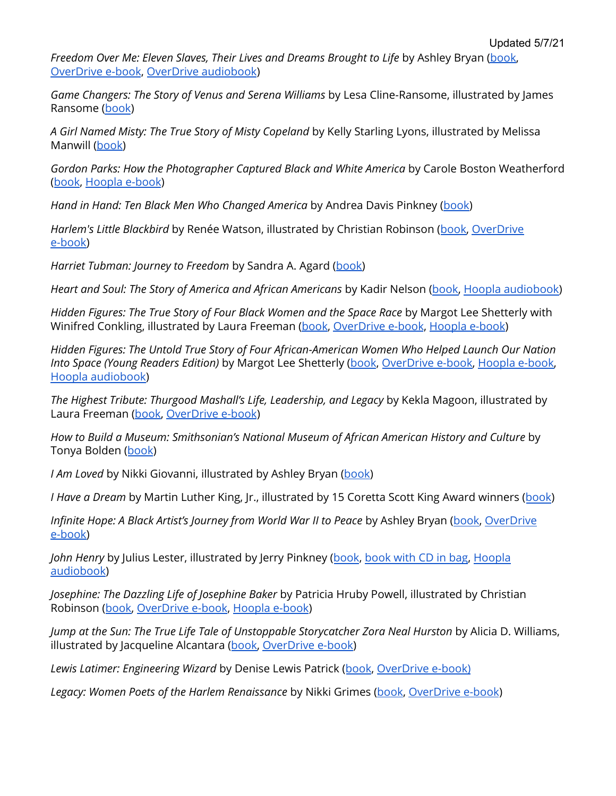*Freedom Over Me: Eleven Slaves, Their Lives and Dreams Brought to Life* by Ashley Bryan [\(book](https://find.minlib.net/iii/encore/record/C__Rb3534040), [OverDrive](https://find.minlib.net/iii/encore/record/C__Rb3612031) e-book, OverDrive [audiobook](https://find.minlib.net/iii/encore/record/C__Rb3789689))

*Game Changers: The Story of Venus and Serena Williams* by Lesa Cline-Ransome, illustrated by James Ransome [\(book](https://find.minlib.net/iii/encore/record/C__Rb3756063))

*A Girl Named Misty: The True Story of Misty Copeland* by Kelly Starling Lyons, illustrated by Melissa Manwill [\(book\)](https://find.minlib.net/iii/encore/record/C__Rb3750082)

*Gordon Parks: How the Photographer Captured Black and White America* by Carole Boston Weatherford ([book](https://find.minlib.net/iii/encore/record/C__Rb3216625), [Hoopla](https://www.hoopladigital.com/title/12083882) e-book)

*Hand in Hand: Ten Black Men Who Changed America* by Andrea Davis Pinkney ([book\)](https://find.minlib.net/iii/encore/record/C__Rb3031841)

*Harlem's Little Blackbird* by Renée Watson, illustrated by Christian Robinson ([book,](https://find.minlib.net/iii/encore/record/C__Rb3025284) [OverDrive](https://find.minlib.net/iii/encore/record/C__Rb3921559) [e-book\)](https://find.minlib.net/iii/encore/record/C__Rb3921559)

*Harriet Tubman: Journey to Freedom* by Sandra A. Agard [\(book\)](https://find.minlib.net/iii/encore/record/C__Rb3936917)

*Heart and Soul: The Story of America and African Americans* by Kadir Nelson ([book,](https://find.minlib.net/iii/encore/record/C__Rb2928081) Hoopla [audiobook\)](https://www.hoopladigital.com/title/11586952)

*Hidden Figures: The True Story of Four Black Women and the Space Race* by Margot Lee Shetterly with Winifred Conkling, illustrated by Laura Freeman [\(book,](https://find.minlib.net/iii/encore/record/C__Rb3713659) [OverDrive](https://find.minlib.net/iii/encore/record/C__Rb3755182) e-book, [Hoopla](https://www.hoopladigital.com/title/13326384) e-book)

*Hidden Figures: The Untold True Story of Four African-American Women Who Helped Launch Our Nation Into Space (Young Readers Edition)* by Margot Lee Shetterly [\(book](https://find.minlib.net/iii/encore/record/C__Rb3564117), [OverDrive](https://find.minlib.net/iii/encore/record/C__Rb3622106) e-book, [Hoopla](https://www.hoopladigital.com/title/13326640) e-book, Hoopla [audiobook](https://www.hoopladigital.com/title/11721489))

*The Highest Tribute: Thurgood Mashall's Life, Leadership, and Legacy* by Kekla Magoon, illustrated by Laura Freeman [\(book,](https://find.minlib.net/iii/encore/record/C__Rb3973228) [OverDrive](https://find.minlib.net/iii/encore/record/C__Rb3999441) e-book)

*How to Build a Museum: Smithsonian's National Museum of African American History and Culture* by Tonya Bolden ([book](https://find.minlib.net/iii/encore/record/C__Rb3539394))

*I Am Loved* by Nikki Giovanni, illustrated by Ashley Bryan [\(book\)](https://find.minlib.net/iii/encore/record/C__Rb3710782)

*I Have a Dream* by Martin Luther King, Jr., illustrated by 15 Coretta Scott King Award winners ([book](http://lib.net/iii/encore/record/C__Rb1784850))

*Infinite Hope: A Black Artist's Journey from World War II to Peace* by Ashley Bryan ([book,](https://find.minlib.net/iii/encore/record/C__Rb3874257) [OverDrive](https://find.minlib.net/iii/encore/record/C__Rb3934703) [e-book\)](https://find.minlib.net/iii/encore/record/C__Rb3934703)

*John Henry* by Julius Lester, illustrated by Jerry Pinkney ([book](https://find.minlib.net/iii/encore/record/C__Rb1507881), [book](https://find.minlib.net/iii/encore/record/C__Rb2340692) with CD in bag, [Hoopla](https://www.hoopladigital.com/title/11200568) [audiobook](https://www.hoopladigital.com/title/11200568))

*Josephine: The Dazzling Life of Josephine Baker* by Patricia Hruby Powell, illustrated by Christian Robinson ([book,](https://find.minlib.net/iii/encore/record/C__Rb3127970) [OverDrive](https://find.minlib.net/iii/encore/record/C__Rb3191695) e-book, [Hoopla](https://www.hoopladigital.com/title/11849143) e-book)

*Jump at the Sun: The True Life Tale of Unstoppable Storycatcher Zora Neal Hurston* by Alicia D. Williams, illustrated by Jacqueline Alcantara ([book,](https://find.minlib.net/iii/encore/record/C__Rb3976186) [OverDrive](https://find.minlib.net/iii/encore/record/C__Rb3984448) e-book)

*Lewis Latimer: Engineering Wizard* by Denise Lewis Patrick ([book](https://find.minlib.net/iii/encore/record/C__Rb3976189), [OverDrive](https://find.minlib.net/iii/encore/record/C__Rb4004633) e-book)

*Legacy: Women Poets of the Harlem Renaissance* by Nikki Grimes ([book,](https://find.minlib.net/iii/encore/record/C__Rb3961099) [OverDrive](https://find.minlib.net/iii/encore/record/C__Rb3984468) e-book)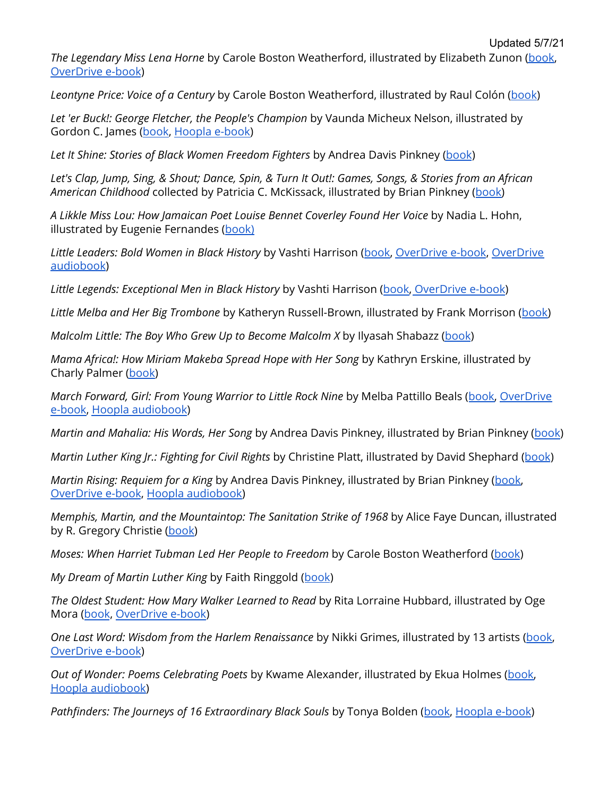*The Legendary Miss Lena Horne* by Carole Boston Weatherford, illustrated by Elizabeth Zunon [\(book](https://find.minlib.net/iii/encore/record/C__Rb3601674), [OverDrive](https://find.minlib.net/iii/encore/record/C__Rb3921577) e-book)

*Leontyne Price: Voice of a Century* by Carole Boston Weatherford, illustrated by Raul Colón [\(book\)](https://find.minlib.net/iii/encore/record/C__Rb3201598)

*Let 'er Buck!: George Fletcher, the People's Champion* by Vaunda Micheux Nelson, illustrated by Gordon C. James [\(book,](https://find.minlib.net/iii/encore/record/C__Rb3801356) [Hoopla](https://www.hoopladigital.com/title/12283305) e-book)

*Let It Shine: Stories of Black Women Freedom Fighters* by Andrea Davis Pinkney [\(book](https://find.minlib.net/iii/encore/record/C__Rb1955301))

Let's Clap, Jump, Sing, & Shout; Dance, Spin, & Turn It Out!: Games, Songs, & Stories from an African *American Childhood* collected by Patricia C. McKissack, illustrated by Brian Pinkney ([book\)](https://find.minlib.net/iii/encore/record/C__Rb3595041)

*A Likkle Miss Lou: How Jamaican Poet Louise Bennet Coverley Found Her Voice* by Nadia L. Hohn, illustrated by Eugenie Fernandes ([book\)](https://find.minlib.net/iii/encore/record/C__Rb3856943)

*Little Leaders: Bold Women in Black History* by Vashti Harrison [\(book,](https://find.minlib.net/iii/encore/record/C__Rb3679439) [OverDrive](https://find.minlib.net/iii/encore/record/C__Rb3738823) e-book, [OverDrive](https://find.minlib.net/iii/encore/record/C__Rb3741530) [audiobook](https://find.minlib.net/iii/encore/record/C__Rb3741530))

*Little Legends: Exceptional Men in Black History* by Vashti Harrison [\(book,](https://find.minlib.net/iii/encore/record/C__Rb3867980) [OverDrive](https://find.minlib.net/iii/encore/record/C__Rb3923148) e-book)

*Little Melba and Her Big Trombone* by Katheryn Russell-Brown, illustrated by Frank Morrison ([book\)](https://find.minlib.net/iii/encore/record/C__Rb3175908)

*Malcolm Little: The Boy Who Grew Up to Become Malcolm X* by Ilyasah Shabazz [\(book](https://find.minlib.net/iii/encore/record/C__Rb3129903))

*Mama Africa!: How Miriam Makeba Spread Hope with Her Song* by Kathryn Erskine, illustrated by Charly Palmer [\(book](https://find.minlib.net/iii/encore/record/C__Rb3672630))

*March Forward, Girl: From Young Warrior to Little Rock Nine* by Melba Pattillo Beals ([book,](https://find.minlib.net/iii/encore/record/C__Rb3715112) [OverDrive](https://find.minlib.net/iii/encore/record/C__Rb3921585) [e-book,](https://find.minlib.net/iii/encore/record/C__Rb3921585) Hoopla [audiobook](https://www.hoopladigital.com/title/12017524))

*Martin and Mahalia: His Words, Her Song* by Andrea Davis Pinkney, illustrated by Brian Pinkney [\(book](https://find.minlib.net/iii/encore/record/C__Rb3098181))

*Martin Luther King Jr.: Fighting for Civil Rights* by Christine Platt, illustrated by David Shephard ([book](https://find.minlib.net/iii/encore/record/C__Rb3973375))

*Martin Rising: Requiem for a King* by Andrea Davis Pinkney, illustrated by Brian Pinkney [\(book,](https://find.minlib.net/iii/encore/record/C__Rb3682362) [OverDrive](https://find.minlib.net/iii/encore/record/C__Rb3815816) e-book, Hoopla [audiobook\)](https://www.hoopladigital.com/title/12190496)

*Memphis, Martin, and the Mountaintop: The Sanitation Strike of 1968* by Alice Faye Duncan, illustrated by R. Gregory Christie [\(book](https://find.minlib.net/iii/encore/record/C__Rb3767570))

*Moses: When Harriet Tubman Led Her People to Freedom* by Carole Boston Weatherford [\(book](https://find.minlib.net/iii/encore/record/C__Rb2434877))

*My Dream of Martin Luther King* by Faith Ringgold ([book](https://find.minlib.net/iii/encore/record/C__Rb1562723))

*The Oldest Student: How Mary Walker Learned to Read* by Rita Lorraine Hubbard, illustrated by Oge Mora ([book](https://find.minlib.net/iii/encore/record/C__Rb3888503), [OverDrive](https://find.minlib.net/iii/encore/record/C__Rb3921309) e-book)

*One Last Word: Wisdom from the Harlem Renaissance* by Nikki Grimes, illustrated by 13 artists [\(book,](https://find.minlib.net/iii/encore/record/C__Rb3597536) [OverDrive](https://find.minlib.net/iii/encore/record/C__Rb3760195) e-book)

*Out of Wonder: Poems Celebrating Poets* by Kwame Alexander, illustrated by Ekua Holmes ([book,](https://find.minlib.net/iii/encore/record/C__Rb3610808) Hoopla [audiobook](https://www.hoopladigital.com/title/12059226))

*Pathfinders: The Journeys of 16 Extraordinary Black Souls* by Tonya Bolden ([book](https://find.minlib.net/iii/encore/record/C__Rb3597561), [Hoopla](https://www.hoopladigital.com/title/12466326) e-book)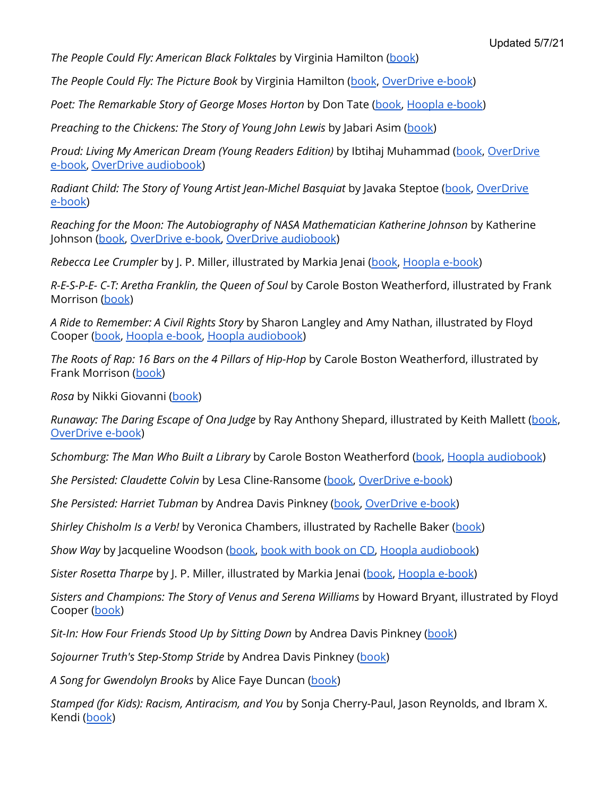*The People Could Fly: American Black Folktales* by Virginia Hamilton [\(book](https://find.minlib.net/iii/encore/record/C__Rb1174885))

*The People Could Fly: The Picture Book* by Virginia Hamilton ([book](https://find.minlib.net/iii/encore/record/C__Rb2273743), [OverDrive](https://find.minlib.net/iii/encore/record/C__Rb3222898) e-book)

*Poet: The Remarkable Story of George Moses Horton* by Don Tate [\(book,](https://find.minlib.net/iii/encore/record/C__Rb3256796) [Hoopla](https://www.hoopladigital.com/title/12274190) e-book)

*Preaching to the Chickens: The Story of Young John Lewis* by Jabari Asim ([book\)](http://find.minlib.net/iii/encore/record/C__Rb3534024__Spreaching%20to%20the%20chickens__Orightresult__U__X7;jsessionid=4E4242FD1D460679AEE9698F573AD265?lang=eng&suite=cobalt)

*Proud: Living My American Dream (Young Readers Edition)* by Ibtihaj Muhammad ([book](https://find.minlib.net/iii/encore/record/C__Rb3763617), [OverDrive](https://find.minlib.net/iii/encore/record/C__Rb3893624) [e-book,](https://find.minlib.net/iii/encore/record/C__Rb3893624) OverDrive [audiobook\)](https://find.minlib.net/iii/encore/record/C__Rb3808694)

*Radiant Child: The Story of Young Artist Jean-Michel Basquiat* by Javaka Steptoe ([book](https://find.minlib.net/iii/encore/record/C__Rb3563064), [OverDrive](https://find.minlib.net/iii/encore/record/C__Rb3615102) [e-book\)](https://find.minlib.net/iii/encore/record/C__Rb3615102)

*Reaching for the Moon: The Autobiography of NASA Mathematician Katherine Johnson* by Katherine Johnson [\(book,](https://find.minlib.net/iii/encore/record/C__Rb3850556) [OverDrive](https://find.minlib.net/iii/encore/record/C__Rb3912292) e-book, OverDrive [audiobook](https://find.minlib.net/iii/encore/record/C__Rb3866040))

*Rebecca Lee Crumpler* by J. P. Miller, illustrated by Markia Jenai [\(book](https://find.minlib.net/iii/encore/record/C__Rb3961449), [Hoopla](https://www.hoopladigital.com/title/13327938) e-book)

*R-E-S-P-E- C-T: Aretha Franklin, the Queen of Soul* by Carole Boston Weatherford, illustrated by Frank Morrison [\(book](https://find.minlib.net/iii/encore/record/C__Rb3941267))

*A Ride to Remember: A Civil Rights Story* by Sharon Langley and Amy Nathan, illustrated by Floyd Cooper [\(book,](https://find.minlib.net/iii/encore/record/C__Rb3888147) [Hoopla](https://www.hoopladigital.com/title/12462920) e-book, Hoopla [audiobook](https://www.hoopladigital.com/title/12748294))

*The Roots of Rap: 16 Bars on the 4 Pillars of Hip-Hop* by Carole Boston Weatherford, illustrated by Frank Morrison [\(book\)](https://find.minlib.net/iii/encore/record/C__Rb3800415)

*Rosa* by Nikki Giovanni [\(book](https://find.minlib.net/iii/encore/record/C__Rb2339898))

*Runaway: The Daring Escape of Ona Judge* by Ray Anthony Shepard, illustrated by Keith Mallett ([book](https://find.minlib.net/iii/encore/record/C__Rb3963912), [OverDrive](https://find.minlib.net/iii/encore/record/C__Rb3984473) e-book)

*Schomburg: The Man Who Built a Library* by Carole Boston Weatherford [\(book](https://find.minlib.net/iii/encore/record/C__Rb3652794), Hoopla [audiobook](https://www.hoopladigital.com/title/11998999))

*She Persisted: Claudette Colvin* by Lesa Cline-Ransome [\(book](https://find.minlib.net/iii/encore/record/C__Rb3976175), [OverDrive](https://find.minlib.net/iii/encore/record/C__Rb3988943) e-book)

*She Persisted: Harriet Tubman* by Andrea Davis Pinkney [\(book,](https://find.minlib.net/iii/encore/record/C__Rb3976178) [OverDrive](https://find.minlib.net/iii/encore/record/C__Rb3984463) e-book)

*Shirley Chisholm Is a Verb!* by Veronica Chambers, illustrated by Rachelle Baker ([book\)](https://find.minlib.net/iii/encore/record/C__Rb3938678)

*Show Way* by Jacqueline Woodson ([book,](https://find.minlib.net/iii/encore/record/C__Rb2345769) [book](https://find.minlib.net/iii/encore/record/C__Rb3059437) with book on CD, Hoopla [audiobook\)](https://www.hoopladigital.com/title/11764635)

*Sister Rosetta Tharpe* by J. P. Miller, illustrated by Markia Jenai ([book](https://find.minlib.net/iii/encore/record/C__Rb3966433), [Hoopla](https://www.hoopladigital.com/title/13327654) e-book)

*Sisters and Champions: The Story of Venus and Serena Williams* by Howard Bryant, illustrated by Floyd Cooper [\(book\)](https://find.minlib.net/iii/encore/record/C__Rb3752143)

*Sit-In: How Four Friends Stood Up by Sitting Down* by Andrea Davis Pinkney [\(book\)](https://find.minlib.net/iii/encore/record/C__Rb2757575__SPinkney%2C%20Andrea%20Davis%20sit%20in__Orightresult__U__X2?lang=eng&suite=cobalt)

*Sojourner Truth's Step-Stomp Stride* by Andrea Davis Pinkney [\(book\)](https://find.minlib.net/iii/encore/record/C__Rb2735565__SSojourner%20Truth%27s%20step-stomp%20stride__Orightresult__U__X6?lang=eng&suite=cobalt)

*A Song for Gwendolyn Brooks* by Alice Faye Duncan [\(book](https://find.minlib.net/iii/encore/record/C__Rb3789220))

*Stamped (for Kids): Racism, Antiracism, and You* by Sonja Cherry-Paul, Jason Reynolds, and Ibram X. Kendi ([book](https://find.minlib.net/iii/encore/record/C__Rb3995833))